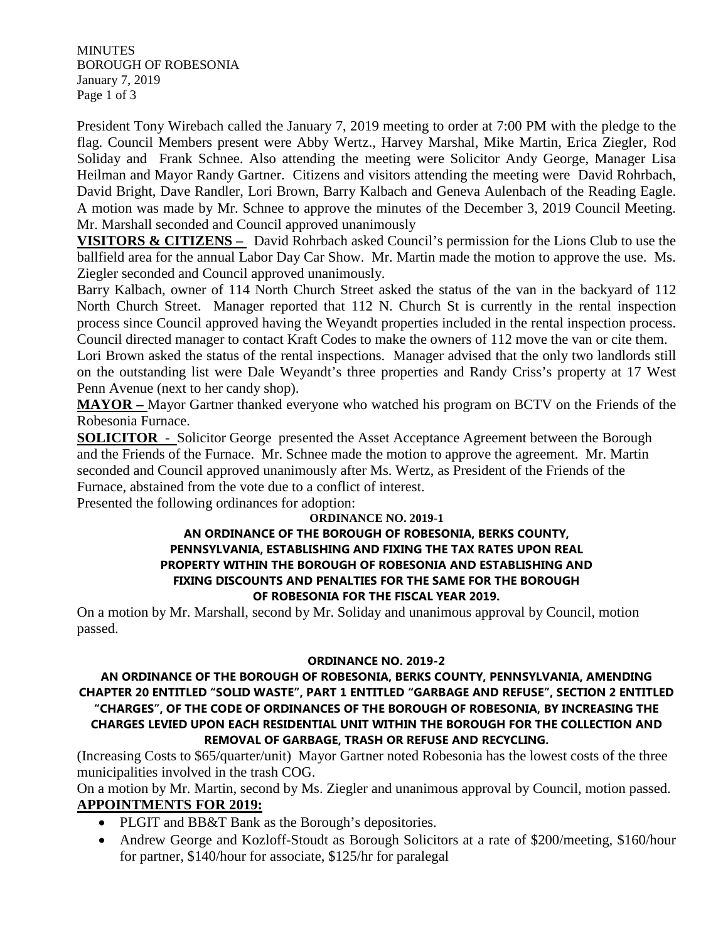**MINUTES** BOROUGH OF ROBESONIA January 7, 2019 Page 1 of 3

President Tony Wirebach called the January 7, 2019 meeting to order at 7:00 PM with the pledge to the flag. Council Members present were Abby Wertz., Harvey Marshal, Mike Martin, Erica Ziegler, Rod Soliday and Frank Schnee. Also attending the meeting were Solicitor Andy George, Manager Lisa Heilman and Mayor Randy Gartner. Citizens and visitors attending the meeting were David Rohrbach, David Bright, Dave Randler, Lori Brown, Barry Kalbach and Geneva Aulenbach of the Reading Eagle. A motion was made by Mr. Schnee to approve the minutes of the December 3, 2019 Council Meeting. Mr. Marshall seconded and Council approved unanimously

**VISITORS & CITIZENS –** David Rohrbach asked Council's permission for the Lions Club to use the ballfield area for the annual Labor Day Car Show. Mr. Martin made the motion to approve the use. Ms. Ziegler seconded and Council approved unanimously.

Barry Kalbach, owner of 114 North Church Street asked the status of the van in the backyard of 112 North Church Street. Manager reported that 112 N. Church St is currently in the rental inspection process since Council approved having the Weyandt properties included in the rental inspection process. Council directed manager to contact Kraft Codes to make the owners of 112 move the van or cite them.

Lori Brown asked the status of the rental inspections. Manager advised that the only two landlords still on the outstanding list were Dale Weyandt's three properties and Randy Criss's property at 17 West Penn Avenue (next to her candy shop).

**MAYOR –** Mayor Gartner thanked everyone who watched his program on BCTV on the Friends of the Robesonia Furnace.

**SOLICITOR** - Solicitor George presented the Asset Acceptance Agreement between the Borough and the Friends of the Furnace. Mr. Schnee made the motion to approve the agreement. Mr. Martin seconded and Council approved unanimously after Ms. Wertz, as President of the Friends of the Furnace, abstained from the vote due to a conflict of interest.

Presented the following ordinances for adoption:

## **ORDINANCE NO. 2019-1**

#### **AN ORDINANCE OF THE BOROUGH OF ROBESONIA, BERKS COUNTY, PENNSYLVANIA, ESTABLISHING AND FIXING THE TAX RATES UPON REAL PROPERTY WITHIN THE BOROUGH OF ROBESONIA AND ESTABLISHING AND FIXING DISCOUNTS AND PENALTIES FOR THE SAME FOR THE BOROUGH OF ROBESONIA FOR THE FISCAL YEAR 2019.**

On a motion by Mr. Marshall, second by Mr. Soliday and unanimous approval by Council, motion passed.

#### **ORDINANCE NO. 2019-2**

### **AN ORDINANCE OF THE BOROUGH OF ROBESONIA, BERKS COUNTY, PENNSYLVANIA, AMENDING CHAPTER 20 ENTITLED "SOLID WASTE", PART 1 ENTITLED "GARBAGE AND REFUSE", SECTION 2 ENTITLED "CHARGES", OF THE CODE OF ORDINANCES OF THE BOROUGH OF ROBESONIA, BY INCREASING THE CHARGES LEVIED UPON EACH RESIDENTIAL UNIT WITHIN THE BOROUGH FOR THE COLLECTION AND REMOVAL OF GARBAGE, TRASH OR REFUSE AND RECYCLING.**

(Increasing Costs to \$65/quarter/unit) Mayor Gartner noted Robesonia has the lowest costs of the three municipalities involved in the trash COG.

On a motion by Mr. Martin, second by Ms. Ziegler and unanimous approval by Council, motion passed. **APPOINTMENTS FOR 2019:** 

- PLGIT and BB&T Bank as the Borough's depositories.
- Andrew George and Kozloff-Stoudt as Borough Solicitors at a rate of \$200/meeting, \$160/hour for partner, \$140/hour for associate, \$125/hr for paralegal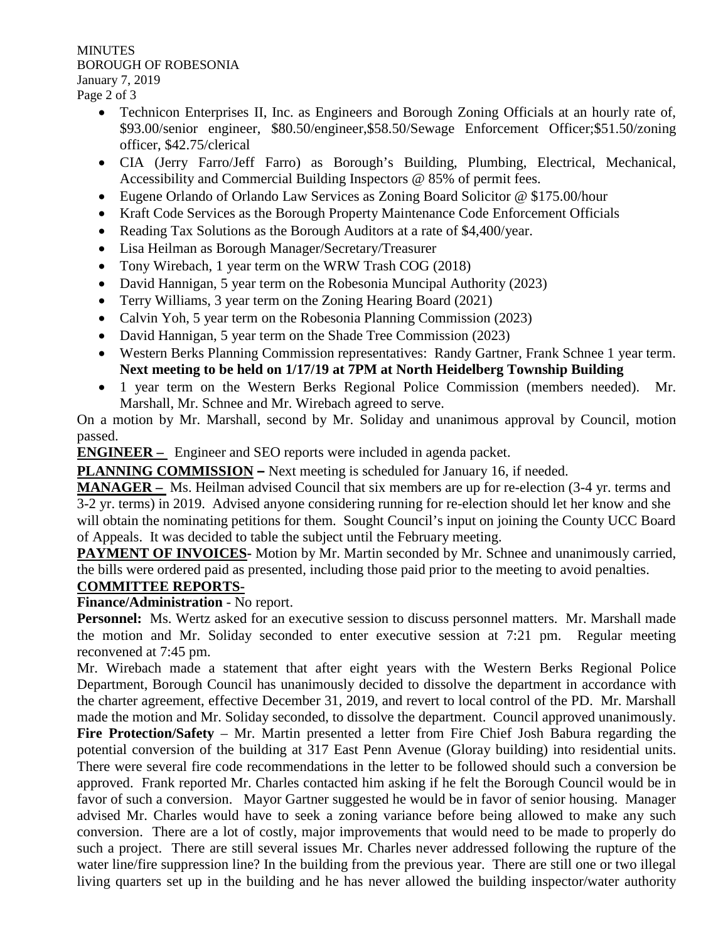**MINUTES** BOROUGH OF ROBESONIA January 7, 2019

Page 2 of 3

- Technicon Enterprises II, Inc. as Engineers and Borough Zoning Officials at an hourly rate of, \$93.00/senior engineer, \$80.50/engineer,\$58.50/Sewage Enforcement Officer;\$51.50/zoning officer, \$42.75/clerical
- CIA (Jerry Farro/Jeff Farro) as Borough's Building, Plumbing, Electrical, Mechanical, Accessibility and Commercial Building Inspectors @ 85% of permit fees.
- Eugene Orlando of Orlando Law Services as Zoning Board Solicitor @ \$175.00/hour
- Kraft Code Services as the Borough Property Maintenance Code Enforcement Officials
- Reading Tax Solutions as the Borough Auditors at a rate of \$4,400/year.
- Lisa Heilman as Borough Manager/Secretary/Treasurer
- Tony Wirebach, 1 year term on the WRW Trash COG (2018)
- David Hannigan, 5 year term on the Robesonia Muncipal Authority (2023)
- Terry Williams, 3 year term on the Zoning Hearing Board (2021)
- Calvin Yoh, 5 year term on the Robesonia Planning Commission (2023)
- David Hannigan, 5 year term on the Shade Tree Commission (2023)
- Western Berks Planning Commission representatives: Randy Gartner, Frank Schnee 1 year term. **Next meeting to be held on 1/17/19 at 7PM at North Heidelberg Township Building**
- 1 year term on the Western Berks Regional Police Commission (members needed). Mr. Marshall, Mr. Schnee and Mr. Wirebach agreed to serve.

On a motion by Mr. Marshall, second by Mr. Soliday and unanimous approval by Council, motion passed.

**ENGINEER** – Engineer and SEO reports were included in agenda packet.

**PLANNING COMMISSION –** Next meeting is scheduled for January 16, if needed.

**MANAGER –** Ms. Heilman advised Council that six members are up for re-election (3-4 yr. terms and 3-2 yr. terms) in 2019. Advised anyone considering running for re-election should let her know and she will obtain the nominating petitions for them. Sought Council's input on joining the County UCC Board of Appeals. It was decided to table the subject until the February meeting.

**PAYMENT OF INVOICES**- Motion by Mr. Martin seconded by Mr. Schnee and unanimously carried, the bills were ordered paid as presented, including those paid prior to the meeting to avoid penalties.

## **COMMITTEE REPORTS-**

# **Finance/Administration** - No report.

**Personnel:** Ms. Wertz asked for an executive session to discuss personnel matters. Mr. Marshall made the motion and Mr. Soliday seconded to enter executive session at 7:21 pm. Regular meeting reconvened at 7:45 pm.

Mr. Wirebach made a statement that after eight years with the Western Berks Regional Police Department, Borough Council has unanimously decided to dissolve the department in accordance with the charter agreement, effective December 31, 2019, and revert to local control of the PD. Mr. Marshall made the motion and Mr. Soliday seconded, to dissolve the department. Council approved unanimously.

**Fire Protection/Safety** – Mr. Martin presented a letter from Fire Chief Josh Babura regarding the potential conversion of the building at 317 East Penn Avenue (Gloray building) into residential units. There were several fire code recommendations in the letter to be followed should such a conversion be approved. Frank reported Mr. Charles contacted him asking if he felt the Borough Council would be in favor of such a conversion. Mayor Gartner suggested he would be in favor of senior housing. Manager advised Mr. Charles would have to seek a zoning variance before being allowed to make any such conversion. There are a lot of costly, major improvements that would need to be made to properly do such a project. There are still several issues Mr. Charles never addressed following the rupture of the water line/fire suppression line? In the building from the previous year. There are still one or two illegal living quarters set up in the building and he has never allowed the building inspector/water authority